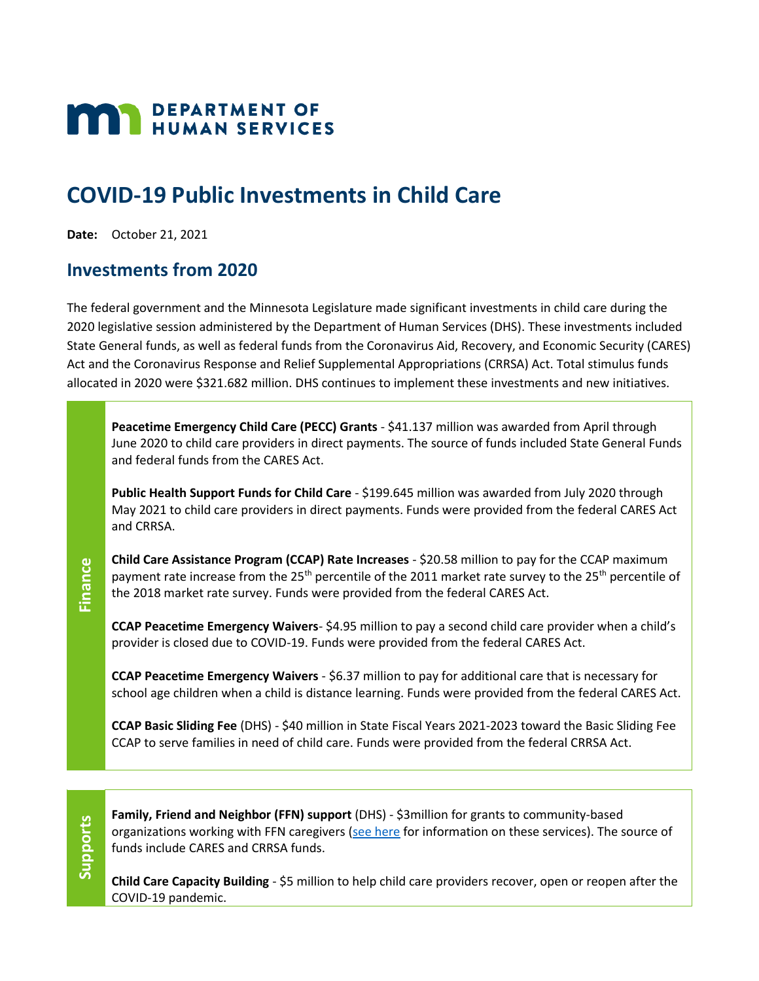## **MAY DEPARTMENT OF HUMAN SERVICES**

## **COVID-19 Public Investments in Child Care**

**Date:** October 21, 2021

## **Investments from 2020**

The federal government and the Minnesota Legislature made significant investments in child care during the 2020 legislative session administered by the Department of Human Services (DHS). These investments included State General funds, as well as federal funds from the Coronavirus Aid, Recovery, and Economic Security (CARES) Act and the Coronavirus Response and Relief Supplemental Appropriations (CRRSA) Act. Total stimulus funds allocated in 2020 were \$321.682 million. DHS continues to implement these investments and new initiatives.

Peacetime Emergency Child Care (PECC) Grants - \$41.137 million was awarded from April through June 2020 to child care providers in direct payments. The source of funds included State General Funds and federal funds from the CARES Act.

**Public Health Support Funds for Child Care** - \$199.645 million was awarded from July 2020 through May 2021 to child care providers in direct payments. Funds were provided from the federal CARES Act and CRRSA.

**Child Care Assistance Program (CCAP) Rate Increases** - \$20.58 million to pay for the CCAP maximum payment rate increase from the 25<sup>th</sup> percentile of the 2011 market rate survey to the 25<sup>th</sup> percentile of the 2018 market rate survey. Funds were provided from the federal CARES Act.

**CCAP Peacetime Emergency Waivers**- \$4.95 million to pay a second child care provider when a child's provider is closed due to COVID-19. Funds were provided from the federal CARES Act.

**CCAP Peacetime Emergency Waivers** - \$6.37 million to pay for additional care that is necessary for school age children when a child is distance learning. Funds were provided from the federal CARES Act.

**CCAP Basic Sliding Fee** (DHS) - \$40 million in State Fiscal Years 2021-2023 toward the Basic Sliding Fee CCAP to serve families in need of child care. Funds were provided from the federal CRRSA Act.

**Supports**

**Finance**

**Family, Friend and Neighbor (FFN) support** (DHS) - \$3million for grants to community-based organizations working with FFN caregivers [\(see here](https://mn.gov/dhs/assets/FAQs%20Supporting%20Family%2C%20Friend%20and%20Neighbor%20child%20care%20providers_tcm1053-462098.pdf) for information on these services). The source of funds include CARES and CRRSA funds.

**Child Care Capacity Building** - \$5 million to help child care providers recover, open or reopen after the COVID-19 pandemic.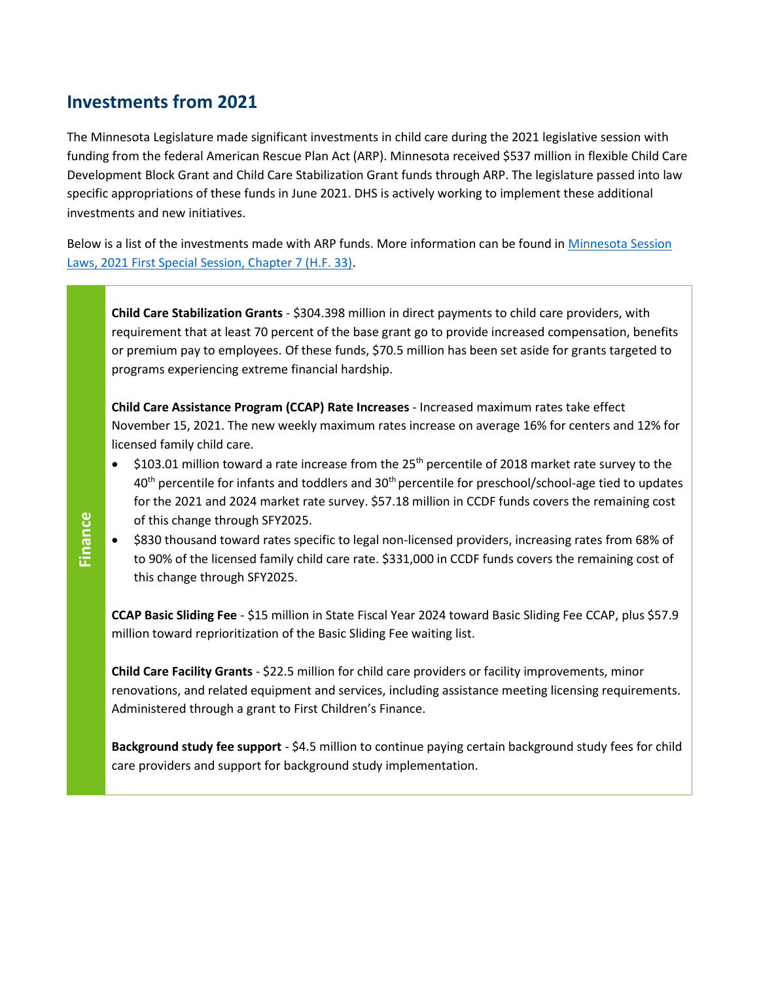## **Investments from 2021**

The Minnesota Legislature made significant investments in child care during the 2021 legislative session with funding from the federal American Rescue Plan Act (ARP). Minnesota received \$537 million in flexible Child Care Development Block Grant and Child Care Stabilization Grant funds through ARP. The legislature passed into law specific appropriations of these funds in June 2021. DHS is actively working to implement these additional investments and new initiatives.

Below is a list of the investments made with ARP funds. More information can be found in Minnesota Session [Laws, 2021 First Special Session, Chapter 7 \(H.F. 33\).](https://www.revisor.mn.gov/laws/2021/1/Session+Law/Chapter/7/)

**Child Care Stabilization Grants** - \$304.398 million in direct payments to child care providers, with requirement that at least 70 percent of the base grant go to provide increased compensation, benefits or premium pay to employees. Of these funds, \$70.5 million has been set aside for grants targeted to programs experiencing extreme financial hardship.

**Child Care Assistance Program (CCAP) Rate Increases** - Increased maximum rates take effect November 15, 2021. The new weekly maximum rates increase on average 16% for centers and 12% for licensed family child care.

- \$103.01 million toward a rate increase from the 25<sup>th</sup> percentile of 2018 market rate survey to the 40<sup>th</sup> percentile for infants and toddlers and 30<sup>th</sup> percentile for preschool/school-age tied to updates for the 2021 and 2024 market rate survey. \$57.18 million in CCDF funds covers the remaining cost of this change through SFY2025.
- **Finance**

 \$830 thousand toward rates specific to legal non-licensed providers, increasing rates from 68% of to 90% of the licensed family child care rate. \$331,000 in CCDF funds covers the remaining cost of this change through SFY2025.

**CCAP Basic Sliding Fee** - \$15 million in State Fiscal Year 2024 toward Basic Sliding Fee CCAP, plus \$57.9 million toward reprioritization of the Basic Sliding Fee waiting list.

**Child Care Facility Grants** - \$22.5 million for child care providers or facility improvements, minor renovations, and related equipment and services, including assistance meeting licensing requirements. Administered through a grant to First Children's Finance.

**Background study fee support** - \$4.5 million to continue paying certain background study fees for child care providers and support for background study implementation.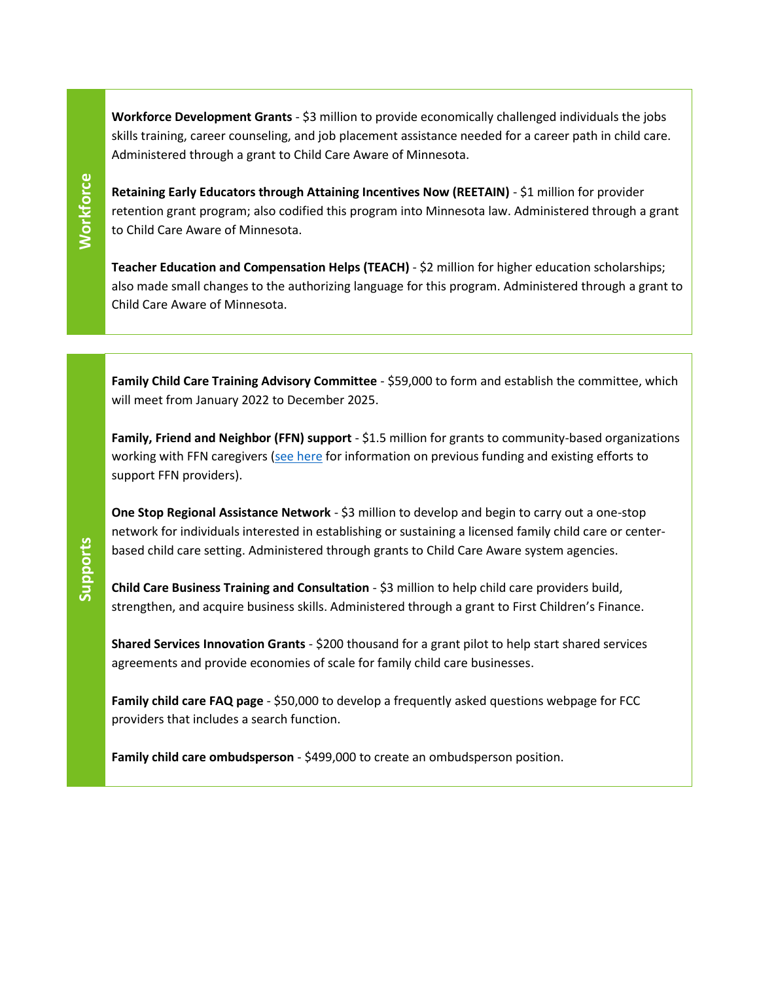**Workforce Development Grants** - \$3 million to provide economically challenged individuals the jobs skills training, career counseling, and job placement assistance needed for a career path in child care. Administered through a grant to Child Care Aware of Minnesota.

**Retaining Early Educators through Attaining Incentives Now (REETAIN) - \$1 million for provider** retention grant program; also codified this program into Minnesota law. Administered through a grant to Child Care Aware of Minnesota.

**Teacher Education and Compensation Helps (TEACH)** - \$2 million for higher education scholarships; also made small changes to the authorizing language for this program. Administered through a grant to Child Care Aware of Minnesota.

**Family Child Care Training Advisory Committee** - \$59,000 to form and establish the committee, which will meet from January 2022 to December 2025.

**Family, Friend and Neighbor (FFN) support** - \$1.5 million for grants to community-based organizations working with FFN caregivers [\(see here](https://mn.gov/dhs/assets/FAQs%20Supporting%20Family%2C%20Friend%20and%20Neighbor%20child%20care%20providers_tcm1053-462098.pdf) for information on previous funding and existing efforts to support FFN providers).

**One Stop Regional Assistance Network** - \$3 million to develop and begin to carry out a one-stop network for individuals interested in establishing or sustaining a licensed family child care or centerbased child care setting. Administered through grants to Child Care Aware system agencies.

**Child Care Business Training and Consultation** - \$3 million to help child care providers build, strengthen, and acquire business skills. Administered through a grant to First Children's Finance.

**Shared Services Innovation Grants** - \$200 thousand for a grant pilot to help start shared services agreements and provide economies of scale for family child care businesses.

Family child care FAQ page - \$50,000 to develop a frequently asked questions webpage for FCC providers that includes a search function.

**Family child care ombudsperson** - \$499,000 to create an ombudsperson position.